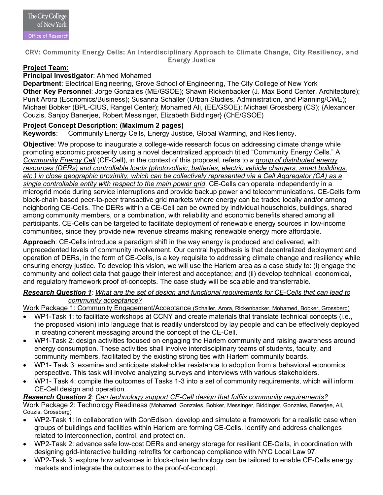

# CRV: Community Energy Cells: An Interdisciplinary Approach to Climate Change, City Resiliency, and Energy Justice

## **Project Team:**

### **Principal Investigator**: Ahmed Mohamed

**Department**: Electrical Engineering, Grove School of Engineering, The City College of New York **Other Key Personnel**: Jorge Gonzales (ME/GSOE); Shawn Rickenbacker (J. Max Bond Center, Architecture); Punit Arora (Economics/Business); Susanna Schaller (Urban Studies, Administration, and Planning/CWE); Michael Bobker (BPL-CIUS, Rangel Center); Mohamed Ali, (EE/GSOE); Michael Grossberg (CS); {Alexander Couzis, Sanjoy Banerjee, Robert Messinger, Elizabeth Biddinger} (ChE/GSOE)

## **Project Concept Description: (Maximum 2 pages)**

**Keywords**: Community Energy Cells, Energy Justice, Global Warming, and Resiliency.

**Objective**: We propose to inaugurate a college-wide research focus on addressing climate change while promoting economic prosperity using a novel decentralized approach titled "Community Energy Cells." A *Community Energy Cell* (CE-Cell), in the context of this proposal, refers to *a group of distributed energy resources (DERs) and controllable loads (photovoltaic, batteries, electric vehicle chargers, smart buildings, etc.) in close geographic proximity, which can be collectively represented via a Cell Aggregator (CA) as a single controllable entity with respect to the main power grid*. CE-Cells can operate independently in a microgrid mode during service interruptions and provide backup power and telecommunications. CE-Cells form block-chain based peer-to-peer transactive grid markets where energy can be traded locally and/or among neighboring CE-Cells. The DERs within a CE-Cell can be owned by individual households, buildings, shared among community members, or a combination, with reliability and economic benefits shared among all participants. CE-Cells can be targeted to facilitate deployment of renewable energy sources in low-income communities, since they provide new revenue streams making renewable energy more affordable.

**Approach**: CE-Cells introduce a paradigm shift in the way energy is produced and delivered, with unprecedented levels of community involvement. Our central hypothesis is that decentralized deployment and operation of DERs, in the form of CE-Cells, is a key requisite to addressing climate change and resiliency while ensuring energy justice. To develop this vision, we will use the Harlem area as a case study to: (i) engage the community and collect data that gauge their interest and acceptance; and (ii) develop technical, economical, and regulatory framework proof of-concepts. The case study will be scalable and transferrable.

### *Research Question 1: What are the set of design and functional requirements for CE-Cells that can lead to community acceptance?*

Work Package 1: Community Engagement/Acceptance (Schaller, Arora, Rickenbacker, Mohamed, Bobker, Grossberg)

- WP1-Task 1: to facilitate workshops at CCNY and create materials that translate technical concepts (i.e., the proposed vision) into language that is readily understood by lay people and can be effectively deployed in creating coherent messaging around the concept of the CE-Cell.
- WP1-Task 2: design activities focused on engaging the Harlem community and raising awareness around energy consumption. These activities shall involve interdisciplinary teams of students, faculty, and community members, facilitated by the existing strong ties with Harlem community boards.
- WP1- Task 3: examine and anticipate stakeholder resistance to adoption from a behavioral economics perspective. This task will involve analyzing surveys and interviews with various stakeholders.
- WP1- Task 4: compile the outcomes of Tasks 1-3 into a set of community requirements, which will inform CE-Cell design and operation.

#### *Research Question 2: Can technology support CE-Cell design that fulfils community requirements?*

Work Package 2: Technology Readiness (Mohamed, Gonzales, Bobker, Messinger, Biddinger, Gonzales, Banerjee, Ali, Couzis, Grossberg)

- WP2-Task 1: in collaboration with ConEdison, develop and simulate a framework for a realistic case when groups of buildings and facilities within Harlem are forming CE-Cells. Identify and address challenges related to interconnection, control, and protection.
- WP2-Task 2: advance safe low-cost DERs and energy storage for resilient CE-Cells, in coordination with designing grid-interactive building retrofits for carboncap compliance with NYC Local Law 97.
- WP2-Task 3: explore how advances in block-chain technology can be tailored to enable CE-Cells energy markets and integrate the outcomes to the proof-of-concept.